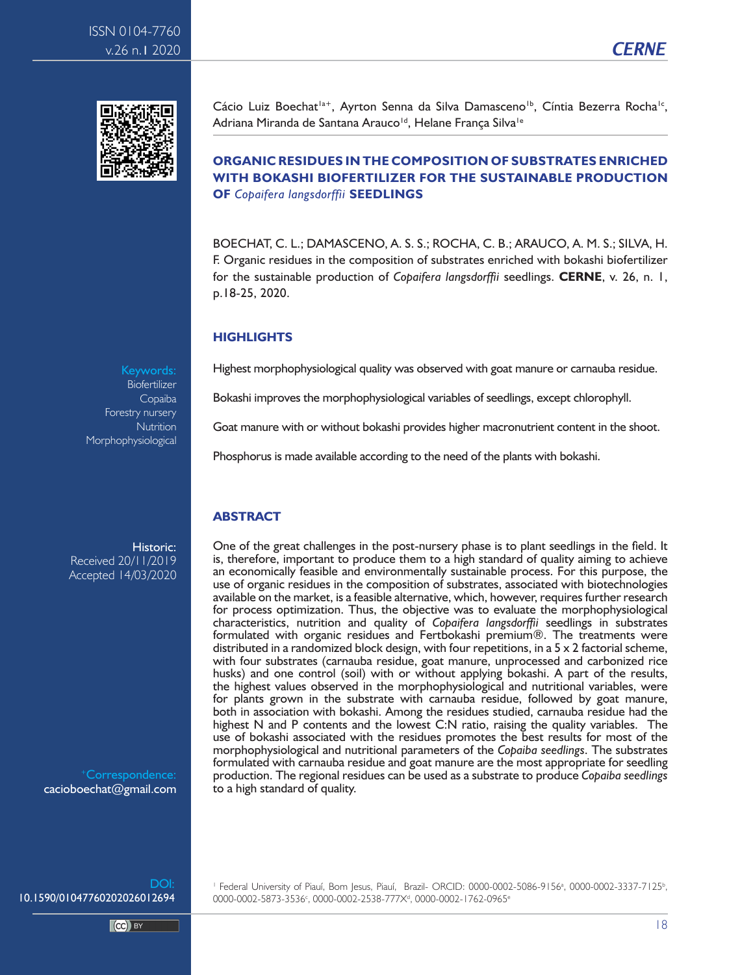



Cácio Luiz Boechat<sup>1a+</sup>, Ayrton Senna da Silva Damasceno<sup>1b</sup>, Cíntia Bezerra Rocha<sup>1c</sup>, Adriana Miranda de Santana Arauco<sup>id</sup>, Helane Franca Silva<sup>ie</sup>

## **ORGANIC RESIDUES IN THE COMPOSITION OF SUBSTRATES ENRICHED WITH BOKASHI BIOFERTILIZER FOR THE SUSTAINABLE PRODUCTION OF** *Copaifera langsdorffii* **SEEDLINGS**

BOECHAT, C. L.; DAMASCENO, A. S. S.; ROCHA, C. B.; ARAUCO, A. M. S.; SILVA, H. F. Organic residues in the composition of substrates enriched with bokashi biofertilizer for the sustainable production of *Copaifera langsdorffii* seedlings. **CERNE**, v. 26, n. 1, p.18-25, 2020.

### **HIGHLIGHTS**

Highest morphophysiological quality was observed with goat manure or carnauba residue.

Bokashi improves the morphophysiological variables of seedlings, except chlorophyll.

Goat manure with or without bokashi provides higher macronutrient content in the shoot.

Phosphorus is made available according to the need of the plants with bokashi.

## **ABSTRACT**

One of the great challenges in the post-nursery phase is to plant seedlings in the field. It is, therefore, important to produce them to a high standard of quality aiming to achieve an economically feasible and environmentally sustainable process. For this purpose, the use of organic residues in the composition of substrates, associated with biotechnologies available on the market, is a feasible alternative, which, however, requires further research for process optimization. Thus, the objective was to evaluate the morphophysiological characteristics, nutrition and quality of *Copaifera langsdorffii* seedlings in substrates formulated with organic residues and Fertbokashi premium®. The treatments were distributed in a randomized block design, with four repetitions, in a 5 x 2 factorial scheme, with four substrates (carnauba residue, goat manure, unprocessed and carbonized rice husks) and one control (soil) with or without applying bokashi. A part of the results, the highest values observed in the morphophysiological and nutritional variables, were for plants grown in the substrate with carnauba residue, followed by goat manure, both in association with bokashi. Among the residues studied, carnauba residue had the highest N and P contents and the lowest C:N ratio, raising the quality variables. The use of bokashi associated with the residues promotes the best results for most of the morphophysiological and nutritional parameters of the *Copaiba seedlings*. The substrates formulated with carnauba residue and goat manure are the most appropriate for seedling production. The regional residues can be used as a substrate to produce *Copaiba seedlings*  to a high standard of quality.

Keywords: Biofertilizer Copaiba Forestry nursery **Nutrition** Morphophysiological

Historic: Received 20/11/2019 Accepted 14/03/2020

Correspondence: cacioboechat@gmail.com

DOI: 10.1590/01047760202026012694

 $CC)$  BY

<sup>1</sup> Federal University of Piauí, Bom Jesus, Piauí, Brazil- ORCID: 0000-0002-5086-9156<sup>a</sup>, 0000-0002-3337-7125<sup>b</sup>, 0000-0002-5873-3536<sup>c</sup>, 0000-0002-2538-777X<sup>d</sup>, 0000-0002-1762-0965<sup>e</sup>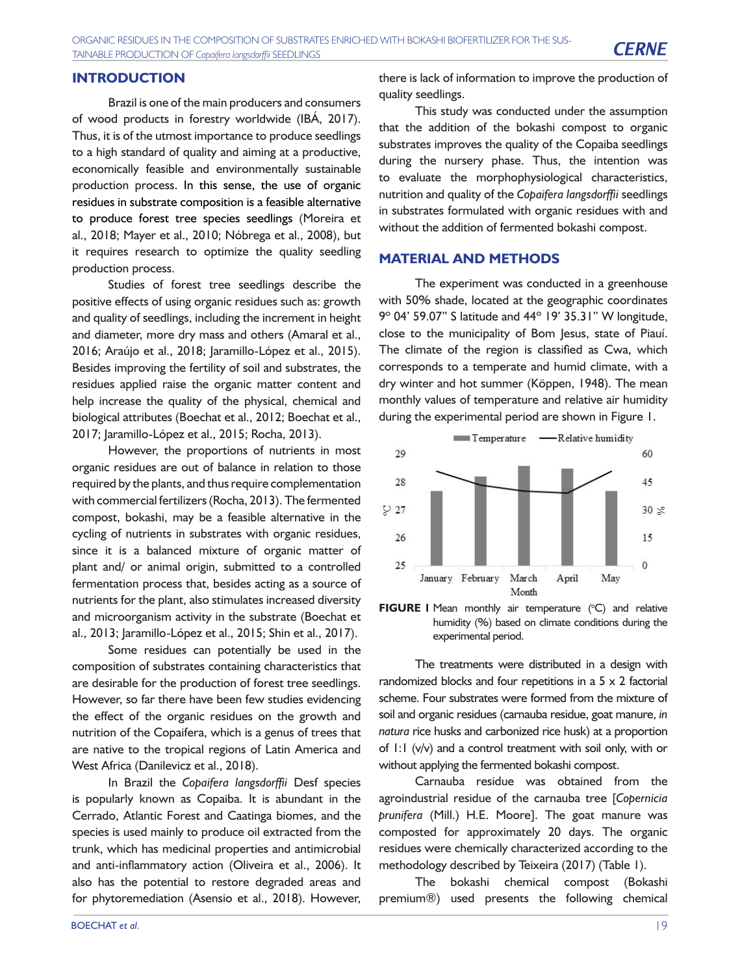Brazil is one of the main producers and consumers of wood products in forestry worldwide (IBÁ, 2017). Thus, it is of the utmost importance to produce seedlings to a high standard of quality and aiming at a productive, economically feasible and environmentally sustainable production process. In this sense, the use of organic residues in substrate composition is a feasible alternative to produce forest tree species seedlings (Moreira et al., 2018; Mayer et al., 2010; Nóbrega et al., 2008), but it requires research to optimize the quality seedling production process.

Studies of forest tree seedlings describe the positive effects of using organic residues such as: growth and quality of seedlings, including the increment in height and diameter, more dry mass and others (Amaral et al., 2016; Araújo et al., 2018; Jaramillo-López et al., 2015). Besides improving the fertility of soil and substrates, the residues applied raise the organic matter content and help increase the quality of the physical, chemical and biological attributes (Boechat et al., 2012; Boechat et al., 2017; Jaramillo-López et al., 2015; Rocha, 2013).

However, the proportions of nutrients in most organic residues are out of balance in relation to those required by the plants, and thus require complementation with commercial fertilizers (Rocha, 2013). The fermented compost, bokashi, may be a feasible alternative in the cycling of nutrients in substrates with organic residues, since it is a balanced mixture of organic matter of plant and/ or animal origin, submitted to a controlled fermentation process that, besides acting as a source of nutrients for the plant, also stimulates increased diversity and microorganism activity in the substrate (Boechat et al., 2013; Jaramillo-López et al., 2015; Shin et al., 2017).

Some residues can potentially be used in the composition of substrates containing characteristics that are desirable for the production of forest tree seedlings. However, so far there have been few studies evidencing the effect of the organic residues on the growth and nutrition of the Copaifera, which is a genus of trees that are native to the tropical regions of Latin America and West Africa (Danilevicz et al., 2018).

In Brazil the *Copaifera langsdorffii* Desf species is popularly known as Copaiba. It is abundant in the Cerrado, Atlantic Forest and Caatinga biomes, and the species is used mainly to produce oil extracted from the trunk, which has medicinal properties and antimicrobial and anti-inflammatory action (Oliveira et al., 2006). It also has the potential to restore degraded areas and for phytoremediation (Asensio et al., 2018). However,

there is lack of information to improve the production of quality seedlings.

This study was conducted under the assumption that the addition of the bokashi compost to organic substrates improves the quality of the Copaiba seedlings during the nursery phase. Thus, the intention was to evaluate the morphophysiological characteristics, nutrition and quality of the *Copaifera langsdorffii* seedlings in substrates formulated with organic residues with and without the addition of fermented bokashi compost.

#### **MATERIAL AND METHODS**

The experiment was conducted in a greenhouse with 50% shade, located at the geographic coordinates 9º 04' 59.07" S latitude and 44º 19' 35.31" W longitude, close to the municipality of Bom Jesus, state of Piauí. The climate of the region is classified as Cwa, which corresponds to a temperate and humid climate, with a dry winter and hot summer (Köppen, 1948). The mean monthly values of temperature and relative air humidity during the experimental period are shown in Figure 1.





The treatments were distributed in a design with randomized blocks and four repetitions in a 5 x 2 factorial scheme. Four substrates were formed from the mixture of soil and organic residues (carnauba residue, goat manure, *in natura* rice husks and carbonized rice husk) at a proportion of 1:1 (v/v) and a control treatment with soil only, with or without applying the fermented bokashi compost.

Carnauba residue was obtained from the agroindustrial residue of the carnauba tree [*Copernicia prunifera* (Mill.) H.E. Moore]. The goat manure was composted for approximately 20 days. The organic residues were chemically characterized according to the methodology described by Teixeira (2017) (Table 1).

The bokashi chemical compost (Bokashi premium®) used presents the following chemical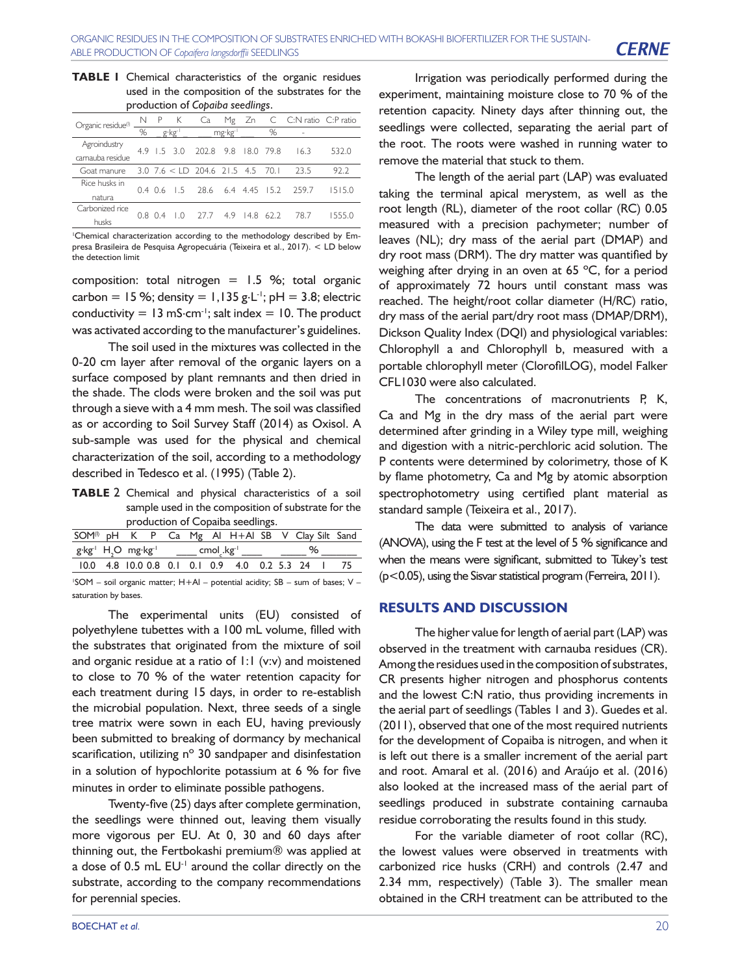| <b>TABLE I</b> Chemical characteristics of the organic residues |
|-----------------------------------------------------------------|
| used in the composition of the substrates for the               |
| production of Copaiba seedlings.                                |

| Organic residue <sup>(1)</sup> |   |      |                 |                                 |               | N P K Ca Mg Zn C C:N ratio C:P ratio    |        |
|--------------------------------|---|------|-----------------|---------------------------------|---------------|-----------------------------------------|--------|
|                                | % |      | g∙kg⊓           | mg·kg <sup>1</sup> %            |               | $\sim$ $-$                              |        |
| Agroindustry                   |   |      |                 | 4.9 1.5 3.0 202.8 9.8 18.0 79.8 |               | 16.3                                    | 532.0  |
| camauba residue                |   |      |                 |                                 |               |                                         |        |
| Goat manure                    |   |      |                 |                                 |               | $3.0$ 7.6 < LD 204.6 21.5 4.5 70.1 23.5 | 92.2   |
| Rice husks in                  |   |      | $0.4$ 0.6 1.5   |                                 |               | 28.6 6.4 4.45 15.2 259.7                | 15150  |
| natura                         |   |      |                 |                                 |               |                                         |        |
| Carbonized rice                |   | 0804 | $\overline{10}$ | - 27.7                          | 4.9 14.8 62.2 |                                         | 1555 O |
| husks                          |   |      |                 |                                 |               | 78.7                                    |        |

1 Chemical characterization according to the methodology described by Empresa Brasileira de Pesquisa Agropecuária (Teixeira et al., 2017). < LD below the detection limit

composition: total nitrogen =  $1.5$  %; total organic carbon = 15 %; density = 1,135 g $\cdot$ L<sup>-1</sup>; pH = 3.8; electric conductivity =  $13 \text{ mS} \cdot \text{cm}^{-1}$ ; salt index = 10. The product was activated according to the manufacturer's guidelines.

The soil used in the mixtures was collected in the 0-20 cm layer after removal of the organic layers on a surface composed by plant remnants and then dried in the shade. The clods were broken and the soil was put through a sieve with a 4 mm mesh. The soil was classified as or according to Soil Survey Staff (2014) as Oxisol. A sub-sample was used for the physical and chemical characterization of the soil, according to a methodology described in Tedesco et al. (1995) (Table 2).

**TABLE** 2 Chemical and physical characteristics of a soil sample used in the composition of substrate for the production of Copaiba seedlings.

|                      |  |  |  | SOM <sup>(1)</sup> pH K P Ca Mg Al H+Al SB V Clay Silt Sand                                                        |  |   |  |
|----------------------|--|--|--|--------------------------------------------------------------------------------------------------------------------|--|---|--|
|                      |  |  |  | $g$ ·kg <sup>-1</sup> H <sub>2</sub> O mg·kg <sup>-1</sup> _____ cmol <sub>c</sub> .kg <sup>-1</sup> _____ __ ____ |  | ℅ |  |
|                      |  |  |  | 10.0 4.8 10.0 0.8 0.1 0.1 0.9 4.0 0.2 5.3 24 1 75                                                                  |  |   |  |
|                      |  |  |  | $'SOM$ – soil organic matter; $H + Al$ – potential acidity; SB – sum of bases; V –                                 |  |   |  |
| saturation by bases. |  |  |  |                                                                                                                    |  |   |  |

The experimental units (EU) consisted of polyethylene tubettes with a 100 mL volume, filled with the substrates that originated from the mixture of soil and organic residue at a ratio of  $1:1$  (v:v) and moistened to close to 70 % of the water retention capacity for each treatment during 15 days, in order to re-establish the microbial population. Next, three seeds of a single tree matrix were sown in each EU, having previously been submitted to breaking of dormancy by mechanical scarification, utilizing n° 30 sandpaper and disinfestation in a solution of hypochlorite potassium at 6 % for five minutes in order to eliminate possible pathogens.

Twenty-five (25) days after complete germination, the seedlings were thinned out, leaving them visually more vigorous per EU. At 0, 30 and 60 days after thinning out, the Fertbokashi premium® was applied at a dose of  $0.5$  mL  $EU<sup>+</sup>$  around the collar directly on the substrate, according to the company recommendations for perennial species.

Irrigation was periodically performed during the experiment, maintaining moisture close to 70 % of the retention capacity. Ninety days after thinning out, the seedlings were collected, separating the aerial part of the root. The roots were washed in running water to remove the material that stuck to them.

The length of the aerial part (LAP) was evaluated taking the terminal apical merystem, as well as the root length (RL), diameter of the root collar (RC) 0.05 measured with a precision pachymeter; number of leaves (NL); dry mass of the aerial part (DMAP) and dry root mass (DRM). The dry matter was quantified by weighing after drying in an oven at 65 ºC, for a period of approximately 72 hours until constant mass was reached. The height/root collar diameter (H/RC) ratio, dry mass of the aerial part/dry root mass (DMAP/DRM), Dickson Quality Index (DQI) and physiological variables: Chlorophyll a and Chlorophyll b, measured with a portable chlorophyll meter (ClorofilLOG), model Falker CFL1030 were also calculated.

The concentrations of macronutrients P, K, Ca and Mg in the dry mass of the aerial part were determined after grinding in a Wiley type mill, weighing and digestion with a nitric-perchloric acid solution. The P contents were determined by colorimetry, those of K by flame photometry, Ca and Mg by atomic absorption spectrophotometry using certified plant material as standard sample (Teixeira et al., 2017).

The data were submitted to analysis of variance (ANOVA), using the F test at the level of 5 % significance and when the means were significant, submitted to Tukey's test (p<0.05), using the Sisvar statistical program (Ferreira, 2011).

#### **RESULTS AND DISCUSSION**

The higher value for length of aerial part (LAP) was observed in the treatment with carnauba residues (CR). Among the residues used in the composition of substrates, CR presents higher nitrogen and phosphorus contents and the lowest C:N ratio, thus providing increments in the aerial part of seedlings (Tables 1 and 3). Guedes et al. (2011), observed that one of the most required nutrients for the development of Copaiba is nitrogen, and when it is left out there is a smaller increment of the aerial part and root. Amaral et al. (2016) and Araújo et al. (2016) also looked at the increased mass of the aerial part of seedlings produced in substrate containing carnauba residue corroborating the results found in this study.

For the variable diameter of root collar (RC), the lowest values were observed in treatments with carbonized rice husks (CRH) and controls (2.47 and 2.34 mm, respectively) (Table 3). The smaller mean obtained in the CRH treatment can be attributed to the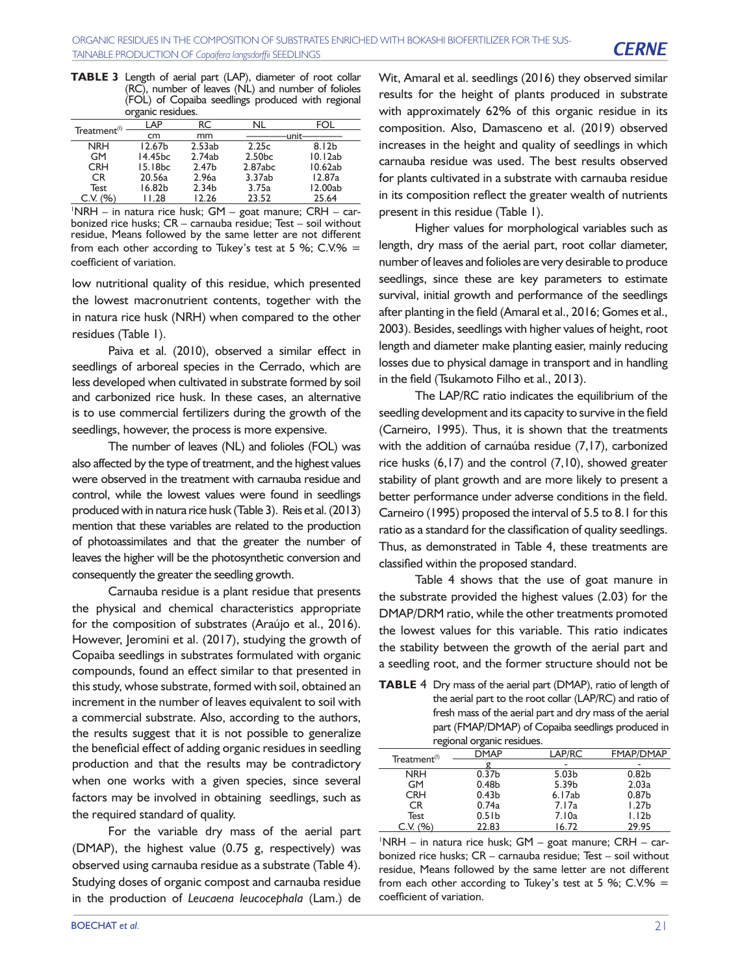**TABLE 3** Length of aerial part (LAP), diameter of root collar (RC), number of leaves (NL) and number of folioles (FOL) of Copaiba seedlings produced with regional organic residues.

|                          | o                   |                   |                    |                   |
|--------------------------|---------------------|-------------------|--------------------|-------------------|
| Treatment <sup>(1)</sup> | I AP                | RC                | NII                | F∩I               |
|                          | cm                  | mm                |                    | unit              |
| <b>NRH</b>               | 12.67 <sub>b</sub>  | 2.53ab            | 2.25c              | 8.12 <sub>b</sub> |
| GM                       | 14.45 <sub>bc</sub> | 2.74ab            | 2.50 <sub>bc</sub> | 10.12ab           |
| <b>CRH</b>               | 15.18 <sub>bc</sub> | 2.47 <sub>b</sub> | 2.87abc            | 10.62ab           |
| CR.                      | 20.56a              | 2.96a             | 3.37ab             | 12.87a            |
| Test                     | 16.82h              | 2.34 <sub>b</sub> | 3.75a              | 12.00ab           |
| C.V.                     | 11.28               | 12.26             | 23.52              | 25.64             |

1 NRH – in natura rice husk; GM – goat manure; CRH – carbonized rice husks; CR – carnauba residue; Test – soil without residue, Means followed by the same letter are not different from each other according to Tukey's test at 5 %; C.V.% = coefficient of variation.

low nutritional quality of this residue, which presented the lowest macronutrient contents, together with the in natura rice husk (NRH) when compared to the other residues (Table 1).

Paiva et al. (2010), observed a similar effect in seedlings of arboreal species in the Cerrado, which are less developed when cultivated in substrate formed by soil and carbonized rice husk. In these cases, an alternative is to use commercial fertilizers during the growth of the seedlings, however, the process is more expensive.

The number of leaves (NL) and folioles (FOL) was also affected by the type of treatment, and the highest values were observed in the treatment with carnauba residue and control, while the lowest values were found in seedlings produced with in natura rice husk (Table 3). Reis et al. (2013) mention that these variables are related to the production of photoassimilates and that the greater the number of leaves the higher will be the photosynthetic conversion and consequently the greater the seedling growth.

Carnauba residue is a plant residue that presents the physical and chemical characteristics appropriate for the composition of substrates (Araújo et al., 2016). However, Jeromini et al. (2017), studying the growth of Copaiba seedlings in substrates formulated with organic compounds, found an effect similar to that presented in this study, whose substrate, formed with soil, obtained an increment in the number of leaves equivalent to soil with a commercial substrate. Also, according to the authors, the results suggest that it is not possible to generalize the beneficial effect of adding organic residues in seedling production and that the results may be contradictory when one works with a given species, since several factors may be involved in obtaining seedlings, such as the required standard of quality.

For the variable dry mass of the aerial part (DMAP), the highest value (0.75 g, respectively) was observed using carnauba residue as a substrate (Table 4). Studying doses of organic compost and carnauba residue in the production of *Leucaena leucocephala* (Lam.) de

Wit, Amaral et al. seedlings (2016) they observed similar results for the height of plants produced in substrate with approximately 62% of this organic residue in its composition. Also, Damasceno et al. (2019) observed increases in the height and quality of seedlings in which carnauba residue was used. The best results observed for plants cultivated in a substrate with carnauba residue in its composition reflect the greater wealth of nutrients present in this residue (Table 1).

Higher values for morphological variables such as length, dry mass of the aerial part, root collar diameter, number of leaves and folioles are very desirable to produce seedlings, since these are key parameters to estimate survival, initial growth and performance of the seedlings after planting in the field (Amaral et al., 2016; Gomes et al., 2003). Besides, seedlings with higher values of height, root length and diameter make planting easier, mainly reducing losses due to physical damage in transport and in handling in the field (Tsukamoto Filho et al., 2013).

The LAP/RC ratio indicates the equilibrium of the seedling development and its capacity to survive in the field (Carneiro, 1995). Thus, it is shown that the treatments with the addition of carnaúba residue (7,17), carbonized rice husks (6,17) and the control (7,10), showed greater stability of plant growth and are more likely to present a better performance under adverse conditions in the field. Carneiro (1995) proposed the interval of 5.5 to 8.1 for this ratio as a standard for the classification of quality seedlings. Thus, as demonstrated in Table 4, these treatments are classified within the proposed standard.

Table 4 shows that the use of goat manure in the substrate provided the highest values (2.03) for the DMAP/DRM ratio, while the other treatments promoted the lowest values for this variable. This ratio indicates the stability between the growth of the aerial part and a seedling root, and the former structure should not be

**TABLE** 4 Dry mass of the aerial part (DMAP), ratio of length of the aerial part to the root collar (LAP/RC) and ratio of fresh mass of the aerial part and dry mass of the aerial part (FMAP/DMAP) of Copaiba seedlings produced in regional organic residues.

| Treatment <sup>(I)</sup> | <b>DMAP</b>        | LAP/RC            | <b>FMAP/DMAP</b>  |
|--------------------------|--------------------|-------------------|-------------------|
|                          |                    |                   |                   |
| <b>NRH</b>               | $0.\overline{37}b$ | 5.03 <sub>b</sub> | 0.82 <sub>b</sub> |
| <b>GM</b>                | 0.48 <sub>b</sub>  | 5.39b             | 2.03a             |
| <b>CRH</b>               | 0.43 <sub>b</sub>  | 6.17ab            | 0.87 <sub>b</sub> |
| CR.                      | 0.74a              | 7.17a             | 1.27 <sub>b</sub> |
| <b>Test</b>              | $0.5$ Ib           | 7.10a             | 1.12 <sub>b</sub> |
| C.V. (%)                 | 22.83              | 16.72             | 29.95             |
|                          |                    |                   |                   |

1 NRH – in natura rice husk; GM – goat manure; CRH – carbonized rice husks; CR – carnauba residue; Test – soil without residue, Means followed by the same letter are not different from each other according to Tukey's test at 5 %;  $C.V.$ % = coefficient of variation.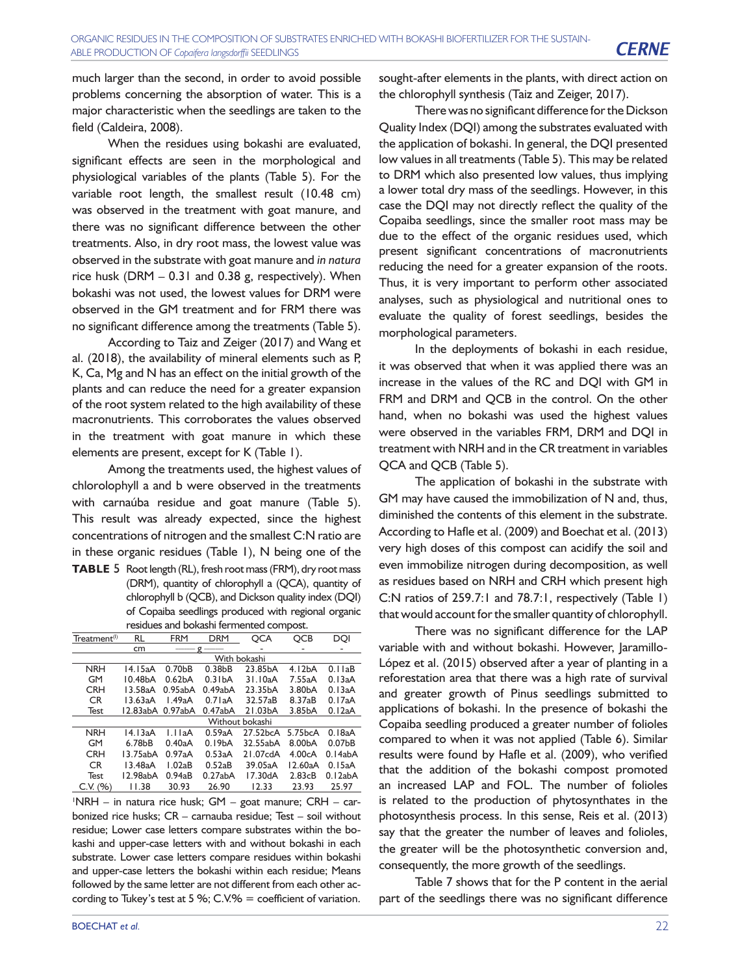much larger than the second, in order to avoid possible problems concerning the absorption of water. This is a major characteristic when the seedlings are taken to the field (Caldeira, 2008).

When the residues using bokashi are evaluated, significant effects are seen in the morphological and physiological variables of the plants (Table 5). For the variable root length, the smallest result (10.48 cm) was observed in the treatment with goat manure, and there was no significant difference between the other treatments. Also, in dry root mass, the lowest value was observed in the substrate with goat manure and *in natura* rice husk (DRM  $-$  0.31 and 0.38 g, respectively). When bokashi was not used, the lowest values for DRM were observed in the GM treatment and for FRM there was no significant difference among the treatments (Table 5).

According to Taiz and Zeiger (2017) and Wang et al. (2018), the availability of mineral elements such as P, K, Ca, Mg and N has an effect on the initial growth of the plants and can reduce the need for a greater expansion of the root system related to the high availability of these macronutrients. This corroborates the values observed in the treatment with goat manure in which these elements are present, except for K (Table 1).

Among the treatments used, the highest values of chlorolophyll a and b were observed in the treatments with carnaúba residue and goat manure (Table 5). This result was already expected, since the highest concentrations of nitrogen and the smallest C:N ratio are in these organic residues (Table 1), N being one of the

**TABLE** 5 Root length (RL), fresh root mass (FRM), dry root mass (DRM), quantity of chlorophyll a (QCA), quantity of chlorophyll b (QCB), and Dickson quality index (DQI) of Copaiba seedlings produced with regional organic residues and bokashi fermented compost.

| Treatment <sup>(I)</sup> | RL               | <b>FRM</b>          | <b>DRM</b>          | QCA             | <b>QCB</b>          | DOI                 |  |  |  |  |  |
|--------------------------|------------------|---------------------|---------------------|-----------------|---------------------|---------------------|--|--|--|--|--|
|                          | cm               |                     | $g -$               |                 |                     |                     |  |  |  |  |  |
|                          |                  |                     |                     | With bokashi    |                     |                     |  |  |  |  |  |
| <b>NRH</b>               | 14.15aA          | 0.70 <sub>b</sub> B | 0.38 <sub>bB</sub>  | 23.85bA         | 4.12 <sub>b</sub> A | 0.11aB              |  |  |  |  |  |
| <b>GM</b>                | 10.48bA          | 0.62 <sub>b</sub> A | $0.3$ IbA           | 31.10aA         | 7.55aA              | 0.13aA              |  |  |  |  |  |
| <b>CRH</b>               | 13.58aA          | 0.95abA             | 0.49abA             | 23.35bA         | 3.80 <sub>b</sub> A | 0.13aA              |  |  |  |  |  |
| CR.                      | 13.63aA          | 1.49aA              | 0.71aA              | 32.57aB         | 8.37aB              | 0.17aA              |  |  |  |  |  |
| <b>Test</b>              | 12.83abA 0.97abA |                     | 0.47abA             | 21.03bA         | 3.85bA              | 0.12aA              |  |  |  |  |  |
|                          |                  |                     |                     | Without bokashi |                     |                     |  |  |  |  |  |
| <b>NRH</b>               | 14.13aA          | 1.11aA              | 0.59aA              | 27.52bcA        | 5.75bcA             | 0.18aA              |  |  |  |  |  |
| <b>GM</b>                | 6.78bB           | 0.40aA              | 0.19 <sub>b</sub> A | 32.55abA        | 8.00bA              | 0.07 <sub>b</sub> B |  |  |  |  |  |
| <b>CRH</b>               | 13.75abA         | 0.97aA              | 0.53aA              | 21.07cdA        | 4.00cA              | 0.14abA             |  |  |  |  |  |
| <b>CR</b>                | 13.48aA          | 1.02aB              | 0.52aB              | 39.05aA         | 12.60aA             | 0.15aA              |  |  |  |  |  |
| <b>Test</b>              | 12.98abA         | 0.94aB              | 0.27abA             | 17.30dA         | 2.83cB              | 0.12abA             |  |  |  |  |  |
| C.V. (96)                | 11.38            | 30.93               | 26.90               | 12.33           | 23.93               | 25.97               |  |  |  |  |  |

1 NRH – in natura rice husk; GM – goat manure; CRH – carbonized rice husks; CR – carnauba residue; Test – soil without residue; Lower case letters compare substrates within the bokashi and upper-case letters with and without bokashi in each substrate. Lower case letters compare residues within bokashi and upper-case letters the bokashi within each residue; Means followed by the same letter are not different from each other according to Tukey's test at 5 %;  $C.V.$ % = coefficient of variation.

sought-after elements in the plants, with direct action on the chlorophyll synthesis (Taiz and Zeiger, 2017).

There was no significant difference for the Dickson Quality Index (DQI) among the substrates evaluated with the application of bokashi. In general, the DQI presented low values in all treatments (Table 5). This may be related to DRM which also presented low values, thus implying a lower total dry mass of the seedlings. However, in this case the DQI may not directly reflect the quality of the Copaiba seedlings, since the smaller root mass may be due to the effect of the organic residues used, which present significant concentrations of macronutrients reducing the need for a greater expansion of the roots. Thus, it is very important to perform other associated analyses, such as physiological and nutritional ones to evaluate the quality of forest seedlings, besides the morphological parameters.

In the deployments of bokashi in each residue, it was observed that when it was applied there was an increase in the values of the RC and DQI with GM in FRM and DRM and QCB in the control. On the other hand, when no bokashi was used the highest values were observed in the variables FRM, DRM and DQI in treatment with NRH and in the CR treatment in variables QCA and QCB (Table 5).

The application of bokashi in the substrate with GM may have caused the immobilization of N and, thus, diminished the contents of this element in the substrate. According to Hafle et al. (2009) and Boechat et al. (2013) very high doses of this compost can acidify the soil and even immobilize nitrogen during decomposition, as well as residues based on NRH and CRH which present high C:N ratios of 259.7:1 and 78.7:1, respectively (Table 1) that would account for the smaller quantity of chlorophyll.

There was no significant difference for the LAP variable with and without bokashi. However, Jaramillo-López et al. (2015) observed after a year of planting in a reforestation area that there was a high rate of survival and greater growth of Pinus seedlings submitted to applications of bokashi. In the presence of bokashi the Copaiba seedling produced a greater number of folioles compared to when it was not applied (Table 6). Similar results were found by Hafle et al. (2009), who verified that the addition of the bokashi compost promoted an increased LAP and FOL. The number of folioles is related to the production of phytosynthates in the photosynthesis process. In this sense, Reis et al. (2013) say that the greater the number of leaves and folioles, the greater will be the photosynthetic conversion and, consequently, the more growth of the seedlings.

Table 7 shows that for the P content in the aerial part of the seedlings there was no significant difference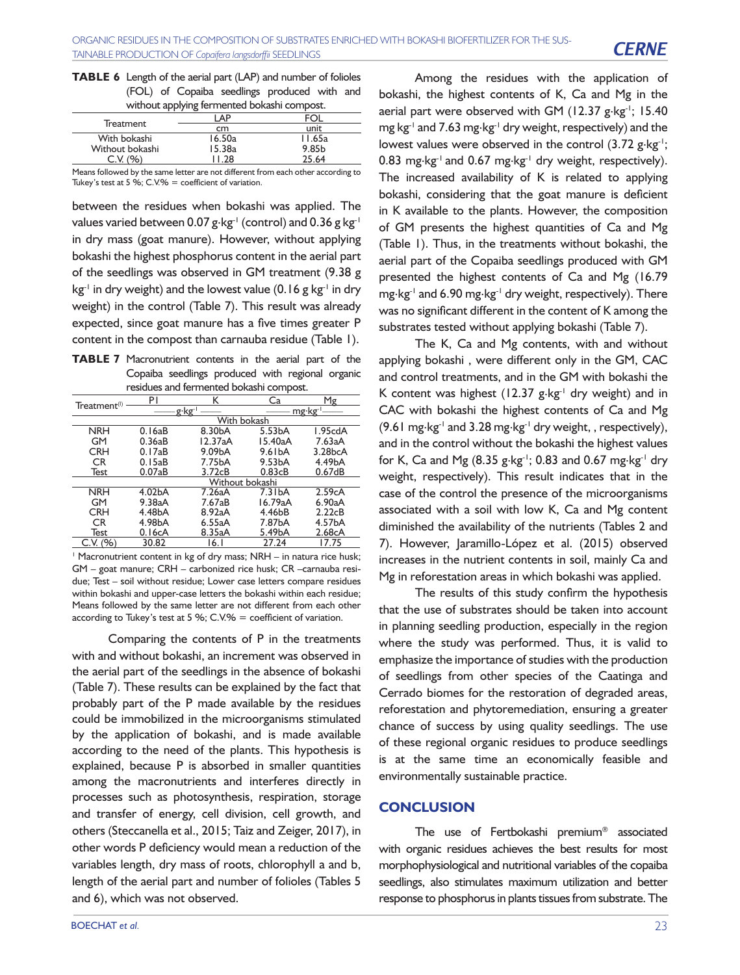| <b>TABLE 6</b> Length of the aerial part (LAP) and number of folioles |  |  |                                              |  |
|-----------------------------------------------------------------------|--|--|----------------------------------------------|--|
|                                                                       |  |  | (FOL) of Copaiba seedlings produced with and |  |
|                                                                       |  |  | without applying fermented bokashi compost.  |  |

|                     | ΔP     |                   |
|---------------------|--------|-------------------|
| Treatment           | cm     | unit              |
| With bokashi        | 16.50a | II.65a            |
| Without bokashi     | 15.38a | 9.85 <sub>b</sub> |
| $(0/\sqrt{2})$<br>v | 128    | 25.64             |
|                     |        |                   |

Means followed by the same letter are not different from each other according to Tukey's test at 5 %; C.V.% = coefficient of variation.

between the residues when bokashi was applied. The values varied between 0.07 g $\,$ kg<sup>-1</sup> (control) and 0.36 g kg<sup>-1</sup> in dry mass (goat manure). However, without applying bokashi the highest phosphorus content in the aerial part of the seedlings was observed in GM treatment (9.38 g  $kg^{-1}$  in dry weight) and the lowest value (0.16 g kg<sup>-1</sup> in dry weight) in the control (Table 7). This result was already expected, since goat manure has a five times greater P content in the compost than carnauba residue (Table 1).

**TABLE 7** Macronutrient contents in the aerial part of the Copaiba seedlings produced with regional organic residues and fermented bokashi compost.

|                          | . pr .              |                 |                     |                      |  |  |  |  |  |
|--------------------------|---------------------|-----------------|---------------------|----------------------|--|--|--|--|--|
| Treatment <sup>(I)</sup> | P١                  | к               | Cа                  | Mg                   |  |  |  |  |  |
|                          |                     | g·kg·'          |                     | mg·kg <sup>-1</sup>  |  |  |  |  |  |
|                          |                     | With bokash     |                     |                      |  |  |  |  |  |
| <b>NRH</b>               | 0.16aB              | 8.30bA          | 5.53 <sub>b</sub> A | I.95cdA              |  |  |  |  |  |
| GM                       | 0.36aB              | 12.37aA         | 15.40aA             | 7.63aA               |  |  |  |  |  |
| <b>CRH</b>               | 0.17aB              | 9.09bA          | 9.61 <sub>bA</sub>  | 3.28 <sub>b</sub> CA |  |  |  |  |  |
| CR.                      | 0.15aB              | 7.75bA          | 9.53 <sub>b</sub> A | 4.49bA               |  |  |  |  |  |
| Test                     | 0.07aB              | 3.72cB          | 0.83cB              | 0.67dB               |  |  |  |  |  |
|                          |                     | Without bokashi |                     |                      |  |  |  |  |  |
| <b>NRH</b>               | 4.02 <sub>b</sub> A | 7.26aA          | 7.31 <sub>bA</sub>  | 2.59cA               |  |  |  |  |  |
| GM                       | 9.38aA              | 7.67aB          | 16.79aA             | 6.90aA               |  |  |  |  |  |
| <b>CRH</b>               | 4.48bA              | 8.92aA          | 4.46bB              | 2.22cB               |  |  |  |  |  |
| CR                       | 4.98bA              | 6.55aA          | 7.87bA              | 4.57bA               |  |  |  |  |  |
| <b>Test</b>              | 0.16cA              | 8.35aA          | 5.49bA              | 2.68cA               |  |  |  |  |  |
| C.V. (96)                | 30.82               | 16.I            | 27.24               | 17.75                |  |  |  |  |  |

<sup>1</sup> Macronutrient content in kg of dry mass; NRH – in natura rice husk; GM – goat manure; CRH – carbonized rice husk; CR –carnauba residue; Test – soil without residue; Lower case letters compare residues within bokashi and upper-case letters the bokashi within each residue; Means followed by the same letter are not different from each other according to Tukey's test at 5 %; C.V.% = coefficient of variation.

Comparing the contents of P in the treatments with and without bokashi, an increment was observed in the aerial part of the seedlings in the absence of bokashi (Table 7). These results can be explained by the fact that probably part of the P made available by the residues could be immobilized in the microorganisms stimulated by the application of bokashi, and is made available according to the need of the plants. This hypothesis is explained, because P is absorbed in smaller quantities among the macronutrients and interferes directly in processes such as photosynthesis, respiration, storage and transfer of energy, cell division, cell growth, and others (Steccanella et al., 2015; Taiz and Zeiger, 2017), in other words P deficiency would mean a reduction of the variables length, dry mass of roots, chlorophyll a and b, length of the aerial part and number of folioles (Tables 5 and 6), which was not observed.

Among the residues with the application of bokashi, the highest contents of K, Ca and Mg in the aerial part were observed with GM (12.37  $g$ ·kg<sup>-1</sup>; 15.40 mg kg-1 and 7.63 mg.kg-1 dry weight, respectively) and the lowest values were observed in the control  $(3.72 \text{ g} \cdot \text{kg}^{-1})$ ; 0.83 mg·kg<sup>-1</sup> and 0.67 mg·kg<sup>-1</sup> dry weight, respectively). The increased availability of K is related to applying bokashi, considering that the goat manure is deficient in K available to the plants. However, the composition of GM presents the highest quantities of Ca and Mg (Table 1). Thus, in the treatments without bokashi, the aerial part of the Copaiba seedlings produced with GM presented the highest contents of Ca and Mg (16.79 mg.kg<sup>-1</sup> and 6.90 mg.kg<sup>-1</sup> dry weight, respectively). There was no significant different in the content of K among the substrates tested without applying bokashi (Table 7).

The K, Ca and Mg contents, with and without applying bokashi , were different only in the GM, CAC and control treatments, and in the GM with bokashi the K content was highest (12.37  $g \cdot kg^{-1}$  dry weight) and in CAC with bokashi the highest contents of Ca and Mg (9.61 mg $\cdot$ kg<sup>-1</sup> and 3.28 mg $\cdot$ kg<sup>-1</sup> dry weight, , respectively), and in the control without the bokashi the highest values for K, Ca and Mg (8.35 g $\cdot$ kg<sup>-1</sup>; 0.83 and 0.67 mg $\cdot$ kg<sup>-1</sup> dry weight, respectively). This result indicates that in the case of the control the presence of the microorganisms associated with a soil with low K, Ca and Mg content diminished the availability of the nutrients (Tables 2 and 7). However, Jaramillo-López et al. (2015) observed increases in the nutrient contents in soil, mainly Ca and Mg in reforestation areas in which bokashi was applied.

The results of this study confirm the hypothesis that the use of substrates should be taken into account in planning seedling production, especially in the region where the study was performed. Thus, it is valid to emphasize the importance of studies with the production of seedlings from other species of the Caatinga and Cerrado biomes for the restoration of degraded areas, reforestation and phytoremediation, ensuring a greater chance of success by using quality seedlings. The use of these regional organic residues to produce seedlings is at the same time an economically feasible and environmentally sustainable practice.

### **CONCLUSION**

The use of Fertbokashi premium® associated with organic residues achieves the best results for most morphophysiological and nutritional variables of the copaiba seedlings, also stimulates maximum utilization and better response to phosphorus in plants tissues from substrate. The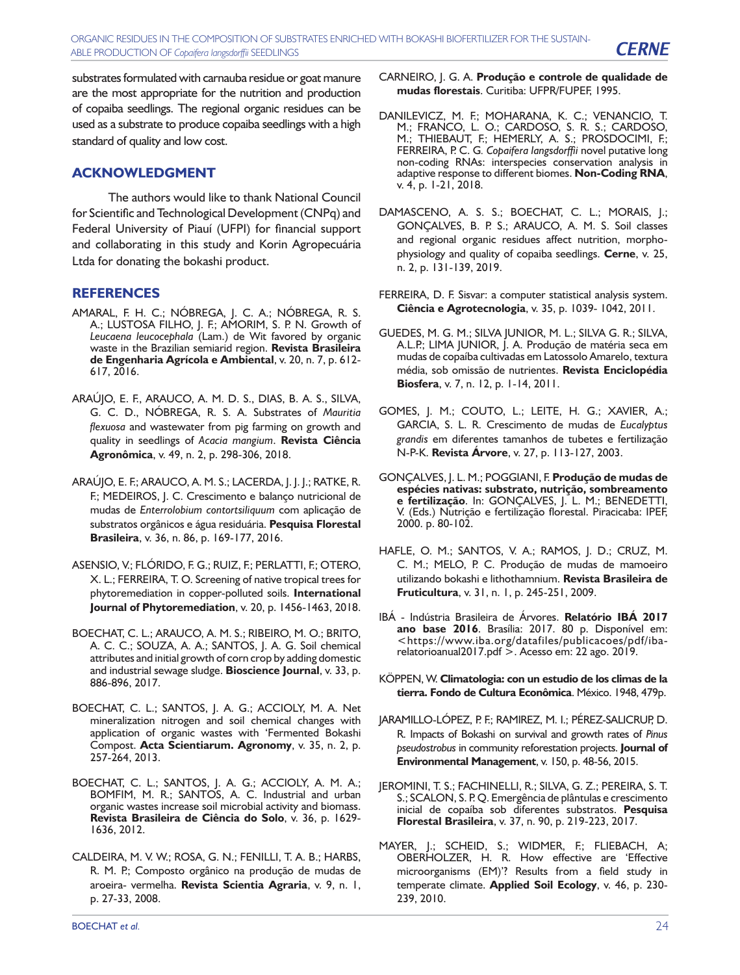substrates formulated with carnauba residue or goat manure are the most appropriate for the nutrition and production of copaiba seedlings. The regional organic residues can be used as a substrate to produce copaiba seedlings with a high standard of quality and low cost.

## **ACKNOWLEDGMENT**

The authors would like to thank National Council for Scientific and Technological Development (CNPq) and Federal University of Piauí (UFPI) for financial support and collaborating in this study and Korin Agropecuária Ltda for donating the bokashi product.

# **REFERENCES**

- AMARAL, F. H. C.; NÓBREGA, J. C. A.; NÓBREGA, R. S. A.; LUSTOSA FILHO, J. F.; AMORIM, S. P. N. Growth of *Leucaena leucocephala* (Lam.) de Wit favored by organic waste in the Brazilian semiarid region. **Revista Brasileira de Engenharia Agrícola e Ambiental**, v. 20, n. 7, p. 612- 617, 2016.
- ARAÚJO, E. F., ARAUCO, A. M. D. S., DIAS, B. A. S., SILVA, G. C. D., NÓBREGA, R. S. A. Substrates of *Mauritia flexuosa* and wastewater from pig farming on growth and quality in seedlings of *Acacia mangium*. **Revista Ciência Agronômica**, v. 49, n. 2, p. 298-306, 2018.
- ARAÚJO, E. F.; ARAUCO, A. M. S.; LACERDA, J. J. J.; RATKE, R. F.; MEDEIROS, J. C. Crescimento e balanço nutricional de mudas de *Enterrolobium contortsiliquum* com aplicação de substratos orgânicos e água residuária. **Pesquisa Florestal Brasileira**, v. 36, n. 86, p. 169-177, 2016.
- ASENSIO, V.; FLÓRIDO, F. G.; RUIZ, F.; PERLATTI, F.; OTERO, X. L.; FERREIRA, T. O. Screening of native tropical trees for phytoremediation in copper-polluted soils. **International Journal of Phytoremediation**, v. 20, p. 1456-1463, 2018.
- BOECHAT, C. L.; ARAUCO, A. M. S.; RIBEIRO, M. O.; BRITO, A. C. C.; SOUZA, A. A.; SANTOS, J. A. G. Soil chemical attributes and initial growth of corn crop by adding domestic and industrial sewage sludge. **Bioscience Journal**, v. 33, p. 886-896, 2017.
- BOECHAT, C. L.; SANTOS, J. A. G.; ACCIOLY, M. A. Net mineralization nitrogen and soil chemical changes with application of organic wastes with 'Fermented Bokashi Compost. **Acta Scientiarum. Agronomy**, v. 35, n. 2, p. 257-264, 2013.
- BOECHAT, C. L.; SANTOS, J. A. G.; ACCIOLY, A. M. A.; BOMFIM, M. R.; SANTOS, A. C. Industrial and urban organic wastes increase soil microbial activity and biomass. **Revista Brasileira de Ciência do Solo**, v. 36, p. 1629- 1636, 2012.
- CALDEIRA, M. V. W.; ROSA, G. N.; FENILLI, T. A. B.; HARBS, R. M. P.; Composto orgânico na produção de mudas de aroeira- vermelha. **Revista Scientia Agraria**, v. 9, n. 1, p. 27-33, 2008.
- CARNEIRO, J. G. A. **Produção e controle de qualidade de mudas florestais**. Curitiba: UFPR/FUPEF, 1995.
- DANILEVICZ, M. F.; MOHARANA, K. C.; VENANCIO, T. M.; FRANCO, L. O.; CARDOSO, S. R. S.; CARDOSO, M.; THIEBAUT, F.; HEMERLY, A. S.; PROSDOCIMI, F.; FERREIRA, P. C. G*. Copaifera langsdorffii* novel putative long non-coding RNAs: interspecies conservation analysis in adaptive response to different biomes. **Non-Coding RNA**, v. 4, p. 1-21, 2018.
- DAMASCENO, A. S. S.; BOECHAT, C. L.; MORAIS, J.; GONÇALVES, B. P. S.; ARAUCO, A. M. S. Soil classes and regional organic residues affect nutrition, morphophysiology and quality of copaiba seedlings. **Cerne**, v. 25, n. 2, p. 131-139, 2019.
- FERREIRA, D. F. Sisvar: a computer statistical analysis system. **Ciência e Agrotecnologia**, v. 35, p. 1039- 1042, 2011.
- GUEDES, M. G. M.; SILVA JUNIOR, M. L.; SILVA G. R.; SILVA, A.L.P.; LIMA JUNIOR, J. A. Produção de matéria seca em mudas de copaíba cultivadas em Latossolo Amarelo, textura média, sob omissão de nutrientes. **Revista Enciclopédia Biosfera**, v. 7, n. 12, p. 1-14, 2011.
- GOMES, J. M.; COUTO, L.; LEITE, H. G.; XAVIER, A.; GARCIA, S. L. R. Crescimento de mudas de *Eucalyptus grandis* em diferentes tamanhos de tubetes e fertilização N-P-K. **Revista Árvore**, v. 27, p. 113-127, 2003.
- GONÇALVES, J. L. M.; POGGIANI, F. **Produção de mudas de espécies nativas: substrato, nutrição, sombreamento e fertilização**. In: GONÇALVES, J. L. M.; BENEDETTI, V. (Eds.) Nutrição e fertilização florestal. Piracicaba: IPEF, 2000. p. 80-102.
- HAFLE, O. M.; SANTOS, V. A.; RAMOS, J. D.; CRUZ, M. C. M.; MELO, P. C. Produção de mudas de mamoeiro utilizando bokashi e lithothamnium. **Revista Brasileira de Fruticultura**, v. 31, n. 1, p. 245-251, 2009.
- IBÁ Indústria Brasileira de Árvores. **Relatório IBÁ 2017 ano base 2016**. Brasília: 2017. 80 p. Disponível em: <https://www.iba.org/datafiles/publicacoes/pdf/ibarelatorioanual2017.pdf >. Acesso em: 22 ago. 2019.
- KÖPPEN, W. **Climatologia: con un estudio de los climas de la tierra. Fondo de Cultura Econômica**. México. 1948, 479p.
- JARAMILLO-LÓPEZ, P. F.; RAMIREZ, M. I.; PÉREZ-SALICRUP, D. R. Impacts of Bokashi on survival and growth rates of *Pinus pseudostrobus* in community reforestation projects. **Journal of Environmental Management**, v. 150, p. 48-56, 2015.
- JEROMINI, T. S.; FACHINELLI, R.; SILVA, G. Z.; PEREIRA, S. T. S.; SCALON, S. P. Q. Emergência de plântulas e crescimento inicial de copaíba sob diferentes substratos. **Pesquisa Florestal Brasileira**, v. 37, n. 90, p. 219-223, 2017.
- MAYER, J.; SCHEID, S.; WIDMER, F.; FLIEBACH, A; OBERHOLZER, H. R. How effective are 'Effective microorganisms (EM)'? Results from a field study in temperate climate. **Applied Soil Ecology**, v. 46, p. 230- 239, 2010.